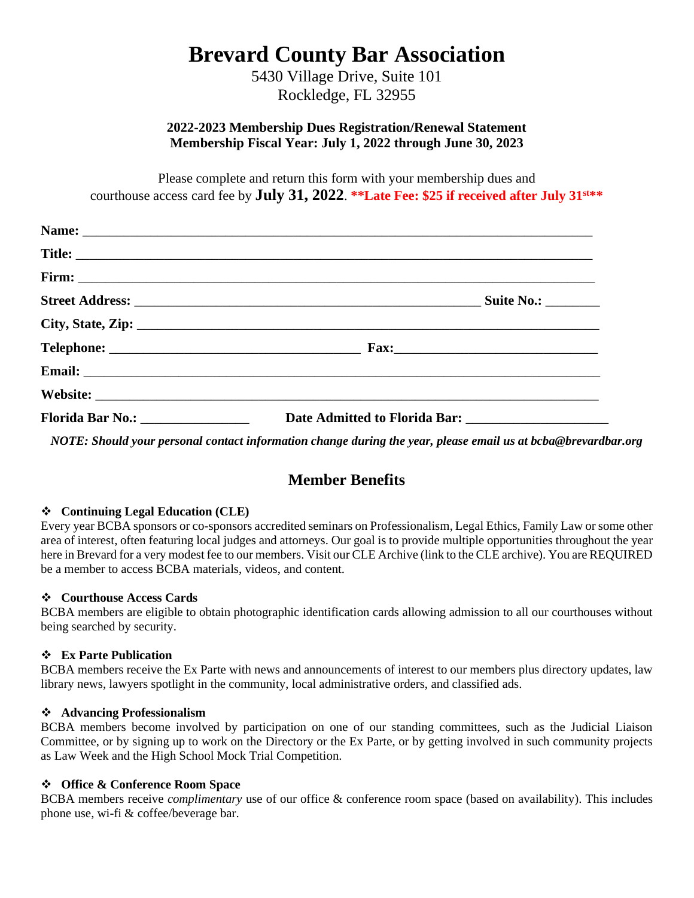# **Brevard County Bar Association**

5430 Village Drive, Suite 101 Rockledge, FL 32955

### **2022-2023 Membership Dues Registration/Renewal Statement Membership Fiscal Year: July 1, 2022 through June 30, 2023**

Please complete and return this form with your membership dues and courthouse access card fee by **July 31, 2022**. **\*\*Late Fee: \$25 if received after July 31st\*\***

| Email: <u>Alexander Alexander Alexander Alexander Alexander Alexander Alexander Alexander Alexander Alexander Alexander Alexander Alexander Alexander Alexander Alexander Alexander Alexander Alexander Alexander Alexander Alex</u> |
|--------------------------------------------------------------------------------------------------------------------------------------------------------------------------------------------------------------------------------------|
|                                                                                                                                                                                                                                      |
|                                                                                                                                                                                                                                      |
| NOTE: Should your personal contact information change during the year, please email us at bcba@brevardbar.org                                                                                                                        |

# **Member Benefits**

### ❖ **Continuing Legal Education (CLE)**

Every year BCBA sponsors or co-sponsors accredited seminars on Professionalism, Legal Ethics, Family Law or some other area of interest, often featuring local judges and attorneys. Our goal is to provide multiple opportunities throughout the year here in Brevard for a very modest fee to our members. Visit our CLE Archive (link to the CLE archive). You are REQUIRED be a member to access BCBA materials, videos, and content.

#### ❖ **Courthouse Access Cards**

BCBA members are eligible to obtain photographic identification cards allowing admission to all our courthouses without being searched by security.

#### ❖ **Ex Parte Publication**

BCBA members receive the Ex Parte with news and announcements of interest to our members plus directory updates, law library news, lawyers spotlight in the community, local administrative orders, and classified ads.

#### ❖ **Advancing Professionalism**

BCBA members become involved by participation on one of our standing committees, such as the Judicial Liaison Committee, or by signing up to work on the Directory or the Ex Parte, or by getting involved in such community projects as Law Week and the High School Mock Trial Competition.

#### ❖ **Office & Conference Room Space**

BCBA members receive *complimentary* use of our office & conference room space (based on availability). This includes phone use, wi-fi & coffee/beverage bar.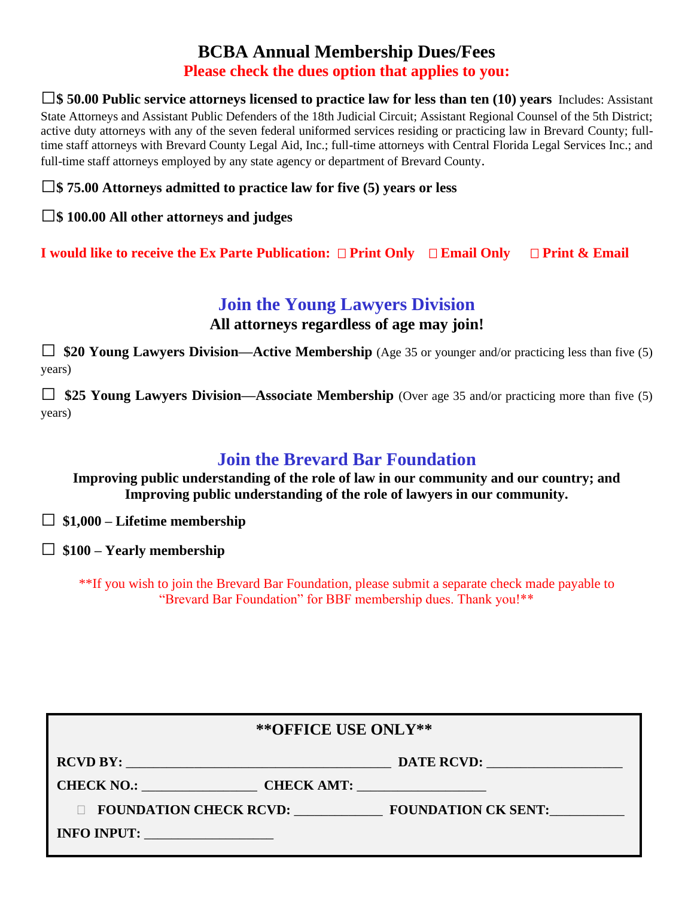# **BCBA Annual Membership Dues/Fees Please check the dues option that applies to you:**

**□\$ 50.00 Public service attorneys licensed to practice law for less than ten (10) years** Includes: Assistant State Attorneys and Assistant Public Defenders of the 18th Judicial Circuit; Assistant Regional Counsel of the 5th District; active duty attorneys with any of the seven federal uniformed services residing or practicing law in Brevard County; fulltime staff attorneys with Brevard County Legal Aid, Inc.; full-time attorneys with Central Florida Legal Services Inc.; and full-time staff attorneys employed by any state agency or department of Brevard County.

## **□\$ 75.00 Attorneys admitted to practice law for five (5) years or less**

## **□\$ 100.00 All other attorneys and judges**

**I would like to receive the Ex Parte Publication: Print Only Email Only Print & Email**

# **Join the Young Lawyers Division**

**All attorneys regardless of age may join!**

□ **\$20 Young Lawyers Division—Active Membership** (Age 35 or younger and/or practicing less than five (5) years)

 $\Box$  **\$25 Young Lawyers Division—Associate Membership** (Over age 35 and/or practicing more than five (5) years)

# **Join the Brevard Bar Foundation**

**Improving public understanding of the role of law in our community and our country; and Improving public understanding of the role of lawyers in our community.**

□ **\$1,000 – Lifetime membership** 

**□ \$100 – Yearly membership**

\*\*If you wish to join the Brevard Bar Foundation, please submit a separate check made payable to "Brevard Bar Foundation" for BBF membership dues. Thank you!\*\*

| ** OFFICE USE ONLY**                                                                                                                |                                            |  |
|-------------------------------------------------------------------------------------------------------------------------------------|--------------------------------------------|--|
| <b>RCVD BY:</b><br>and the control of the control of the control of the control of the control of the control of the control of the | DATE RCVD:                                 |  |
|                                                                                                                                     | CHECK NO.: CHECK AMT:                      |  |
|                                                                                                                                     | FOUNDATION CHECK RCVD: FOUNDATION CK SENT: |  |
| INFO INPUT:                                                                                                                         |                                            |  |